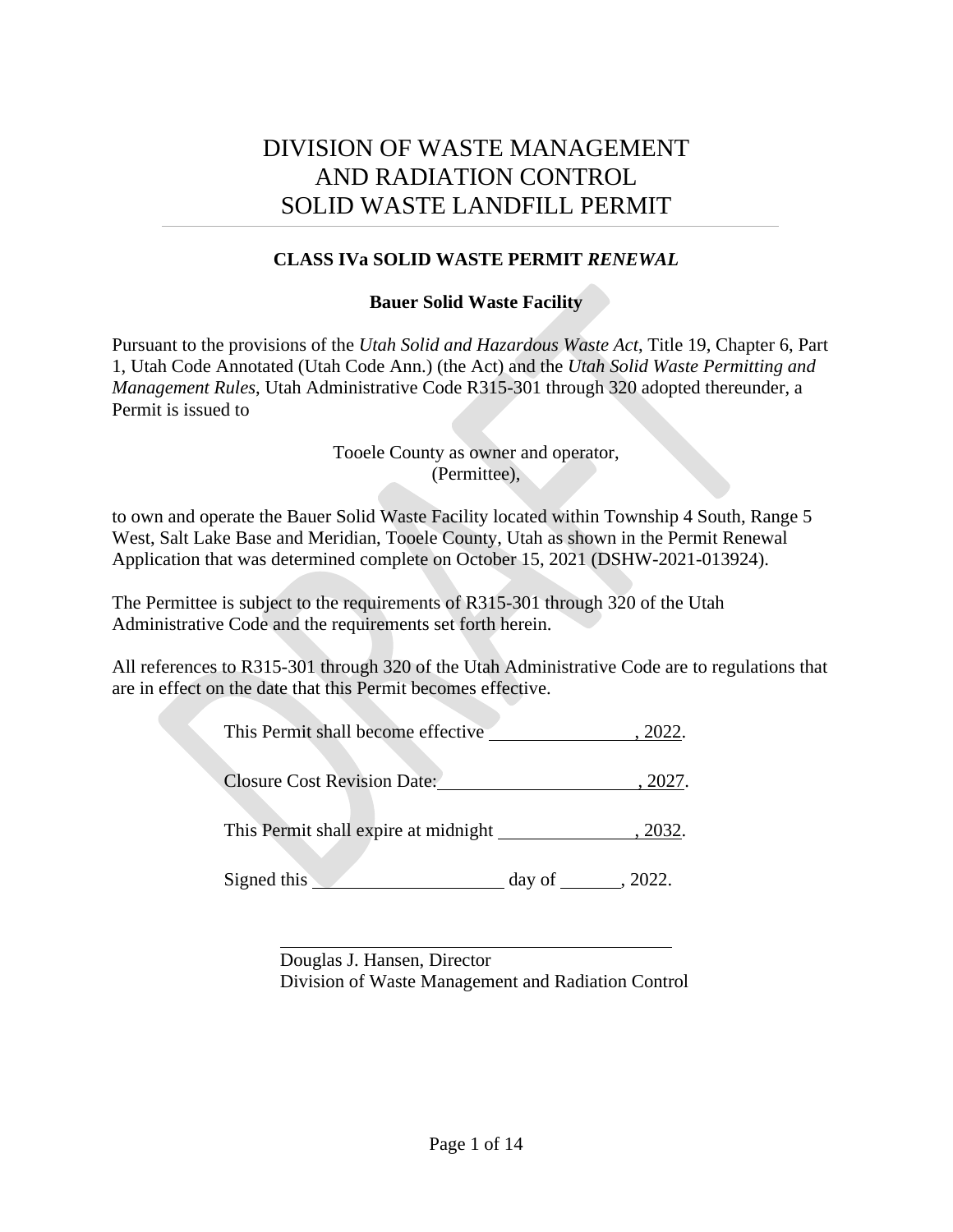# DIVISION OF WASTE MANAGEMENT AND RADIATION CONTROL SOLID WASTE LANDFILL PERMIT

### **CLASS IVa SOLID WASTE PERMIT** *RENEWAL*

### **Bauer Solid Waste Facility**

Pursuant to the provisions of the *Utah Solid and Hazardous Waste Act*, Title 19, Chapter 6, Part 1, Utah Code Annotated (Utah Code Ann.) (the Act) and the *Utah Solid Waste Permitting and Management Rules*, Utah Administrative Code R315-301 through 320 adopted thereunder, a Permit is issued to

#### Tooele County as owner and operator, (Permittee),

to own and operate the Bauer Solid Waste Facility located within Township 4 South, Range 5 West, Salt Lake Base and Meridian, Tooele County, Utah as shown in the Permit Renewal Application that was determined complete on October 15, 2021 (DSHW-2021-013924).

The Permittee is subject to the requirements of R315-301 through 320 of the Utah Administrative Code and the requirements set forth herein.

All references to R315-301 through 320 of the Utah Administrative Code are to regulations that are in effect on the date that this Permit becomes effective.

|  | This Permit shall become effective | .2022. |
|--|------------------------------------|--------|
|  |                                    |        |

Closure Cost Revision Date: , 2027.

This Permit shall expire at midnight , 2032.

Signed this day of , 2022.

 $\overline{a}$ Douglas J. Hansen, Director Division of Waste Management and Radiation Control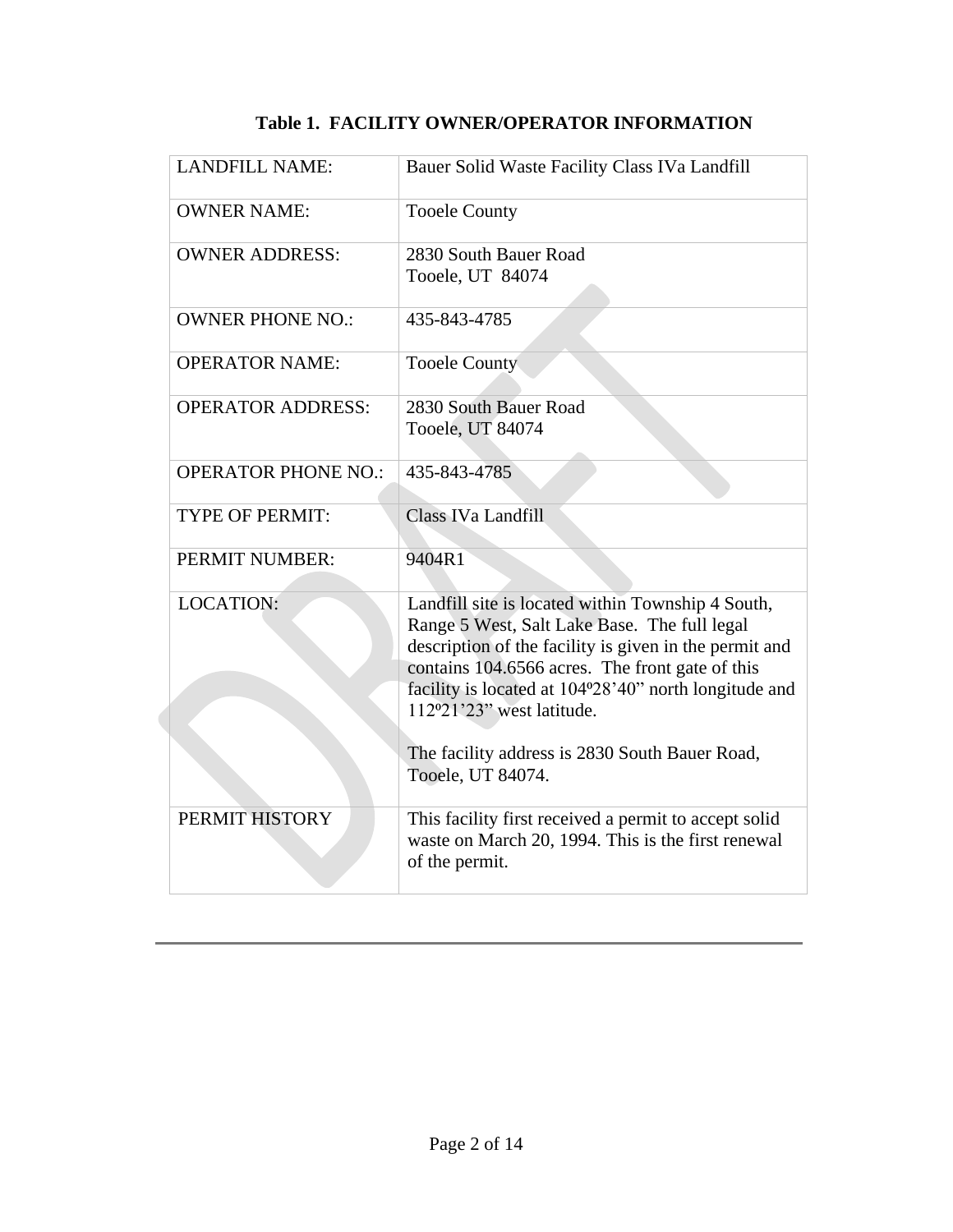| <b>LANDFILL NAME:</b>      | Bauer Solid Waste Facility Class IVa Landfill                                                                                                                                                                                                                                                        |  |  |
|----------------------------|------------------------------------------------------------------------------------------------------------------------------------------------------------------------------------------------------------------------------------------------------------------------------------------------------|--|--|
| <b>OWNER NAME:</b>         | <b>Tooele County</b>                                                                                                                                                                                                                                                                                 |  |  |
| <b>OWNER ADDRESS:</b>      | 2830 South Bauer Road<br>Tooele, UT 84074                                                                                                                                                                                                                                                            |  |  |
| <b>OWNER PHONE NO.:</b>    | 435-843-4785                                                                                                                                                                                                                                                                                         |  |  |
| <b>OPERATOR NAME:</b>      | <b>Tooele County</b>                                                                                                                                                                                                                                                                                 |  |  |
| <b>OPERATOR ADDRESS:</b>   | 2830 South Bauer Road<br>Tooele, UT 84074                                                                                                                                                                                                                                                            |  |  |
| <b>OPERATOR PHONE NO.:</b> | 435-843-4785                                                                                                                                                                                                                                                                                         |  |  |
| <b>TYPE OF PERMIT:</b>     | <b>Class IVa Landfill</b>                                                                                                                                                                                                                                                                            |  |  |
| PERMIT NUMBER:             | 9404R1                                                                                                                                                                                                                                                                                               |  |  |
| <b>LOCATION:</b>           | Landfill site is located within Township 4 South,<br>Range 5 West, Salt Lake Base. The full legal<br>description of the facility is given in the permit and<br>contains 104.6566 acres. The front gate of this<br>facility is located at 104°28'40" north longitude and<br>112°21'23" west latitude. |  |  |
|                            | The facility address is 2830 South Bauer Road,<br>Tooele, UT 84074.                                                                                                                                                                                                                                  |  |  |
| PERMIT HISTORY             | This facility first received a permit to accept solid<br>waste on March 20, 1994. This is the first renewal<br>of the permit.                                                                                                                                                                        |  |  |

# **Table 1. FACILITY OWNER/OPERATOR INFORMATION**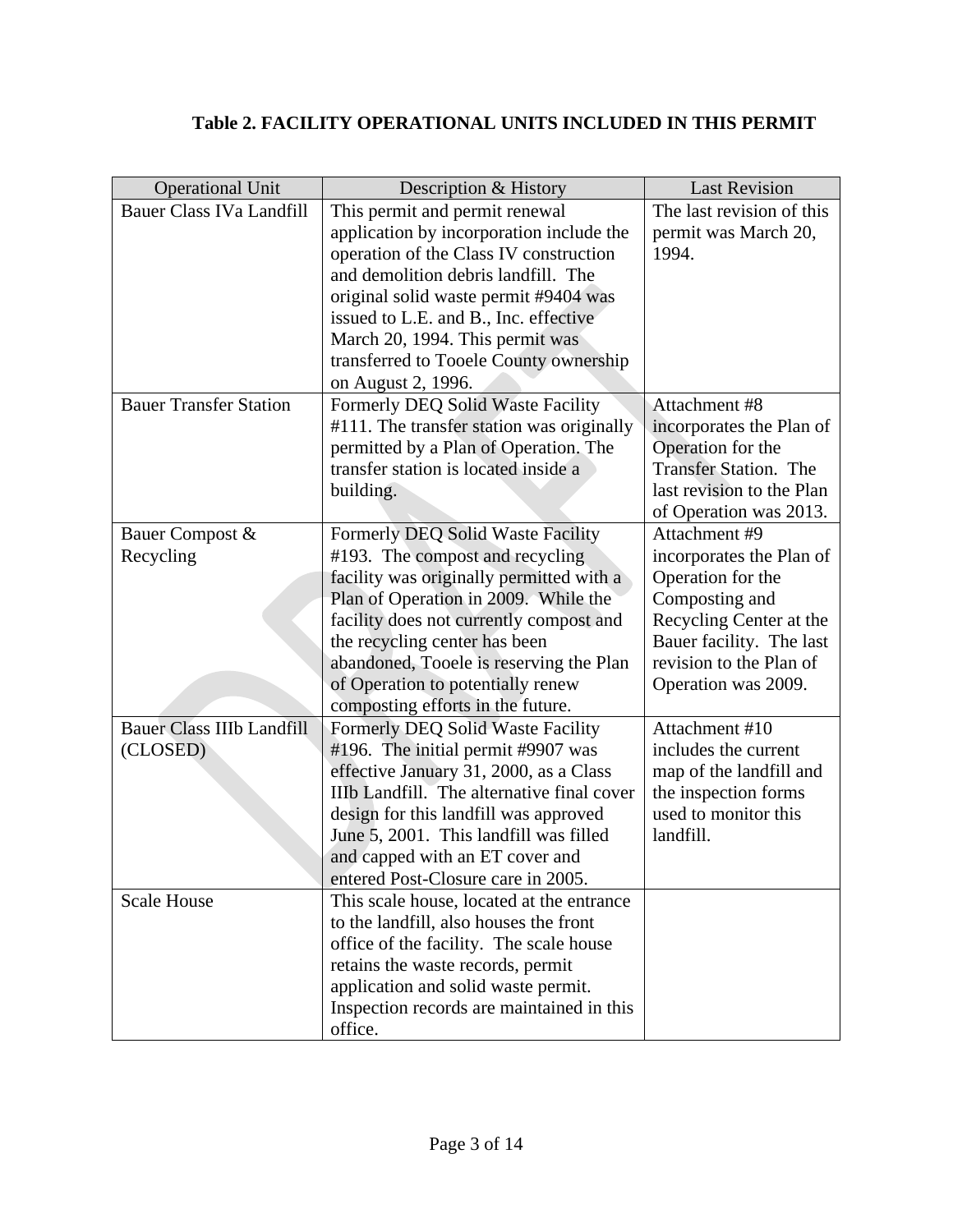# **Table 2. FACILITY OPERATIONAL UNITS INCLUDED IN THIS PERMIT**

| <b>Operational Unit</b>          | Description & History                      | <b>Last Revision</b>         |
|----------------------------------|--------------------------------------------|------------------------------|
| Bauer Class IVa Landfill         | This permit and permit renewal             | The last revision of this    |
|                                  | application by incorporation include the   | permit was March 20,         |
|                                  | operation of the Class IV construction     | 1994.                        |
|                                  | and demolition debris landfill. The        |                              |
|                                  | original solid waste permit #9404 was      |                              |
|                                  | issued to L.E. and B., Inc. effective      |                              |
|                                  | March 20, 1994. This permit was            |                              |
|                                  | transferred to Tooele County ownership     |                              |
|                                  | on August 2, 1996.                         |                              |
| <b>Bauer Transfer Station</b>    | Formerly DEQ Solid Waste Facility          | Attachment #8                |
|                                  | #111. The transfer station was originally  | incorporates the Plan of     |
|                                  | permitted by a Plan of Operation. The      | Operation for the            |
|                                  | transfer station is located inside a       | <b>Transfer Station. The</b> |
|                                  | building.                                  | last revision to the Plan    |
|                                  |                                            | of Operation was 2013.       |
| Bauer Compost &                  | Formerly DEQ Solid Waste Facility          | Attachment #9                |
| Recycling                        | #193. The compost and recycling            | incorporates the Plan of     |
|                                  | facility was originally permitted with a   | Operation for the            |
|                                  | Plan of Operation in 2009. While the       | Composting and               |
|                                  | facility does not currently compost and    | Recycling Center at the      |
|                                  | the recycling center has been              | Bauer facility. The last     |
|                                  | abandoned, Tooele is reserving the Plan    | revision to the Plan of      |
|                                  | of Operation to potentially renew          | Operation was 2009.          |
|                                  | composting efforts in the future.          |                              |
| <b>Bauer Class IIIb Landfill</b> | Formerly DEQ Solid Waste Facility          | Attachment #10               |
| (CLOSED)                         | #196. The initial permit #9907 was         | includes the current         |
|                                  | effective January 31, 2000, as a Class     | map of the landfill and      |
|                                  | IIIb Landfill. The alternative final cover | the inspection forms         |
|                                  | design for this landfill was approved      | used to monitor this         |
|                                  | June 5, 2001. This landfill was filled     | landfill.                    |
|                                  | and capped with an ET cover and            |                              |
|                                  | entered Post-Closure care in 2005.         |                              |
| <b>Scale House</b>               | This scale house, located at the entrance  |                              |
|                                  | to the landfill, also houses the front     |                              |
|                                  | office of the facility. The scale house    |                              |
|                                  | retains the waste records, permit          |                              |
|                                  | application and solid waste permit.        |                              |
|                                  | Inspection records are maintained in this  |                              |
|                                  | office.                                    |                              |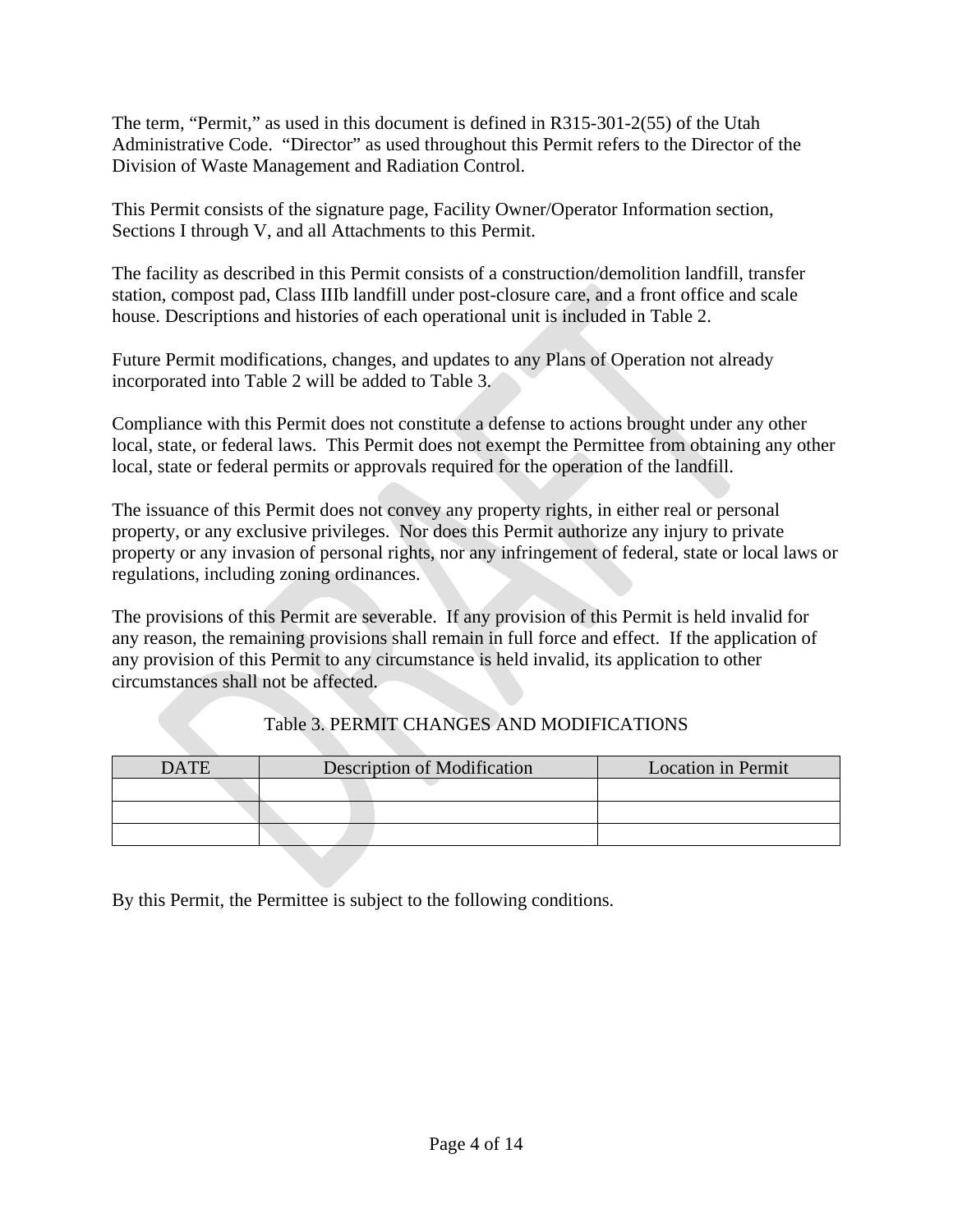The term, "Permit," as used in this document is defined in R315-301-2(55) of the Utah Administrative Code. "Director" as used throughout this Permit refers to the Director of the Division of Waste Management and Radiation Control.

This Permit consists of the signature page, Facility Owner/Operator Information section, Sections I through V, and all Attachments to this Permit.

The facility as described in this Permit consists of a construction/demolition landfill, transfer station, compost pad, Class IIIb landfill under post-closure care, and a front office and scale house. Descriptions and histories of each operational unit is included in Table 2.

Future Permit modifications, changes, and updates to any Plans of Operation not already incorporated into Table 2 will be added to Table 3.

Compliance with this Permit does not constitute a defense to actions brought under any other local, state, or federal laws. This Permit does not exempt the Permittee from obtaining any other local, state or federal permits or approvals required for the operation of the landfill.

The issuance of this Permit does not convey any property rights, in either real or personal property, or any exclusive privileges. Nor does this Permit authorize any injury to private property or any invasion of personal rights, nor any infringement of federal, state or local laws or regulations, including zoning ordinances.

The provisions of this Permit are severable. If any provision of this Permit is held invalid for any reason, the remaining provisions shall remain in full force and effect. If the application of any provision of this Permit to any circumstance is held invalid, its application to other circumstances shall not be affected.

| <b>DATE</b> | Description of Modification | <b>Location in Permit</b> |
|-------------|-----------------------------|---------------------------|
|             |                             |                           |
|             |                             |                           |
|             |                             |                           |

By this Permit, the Permittee is subject to the following conditions.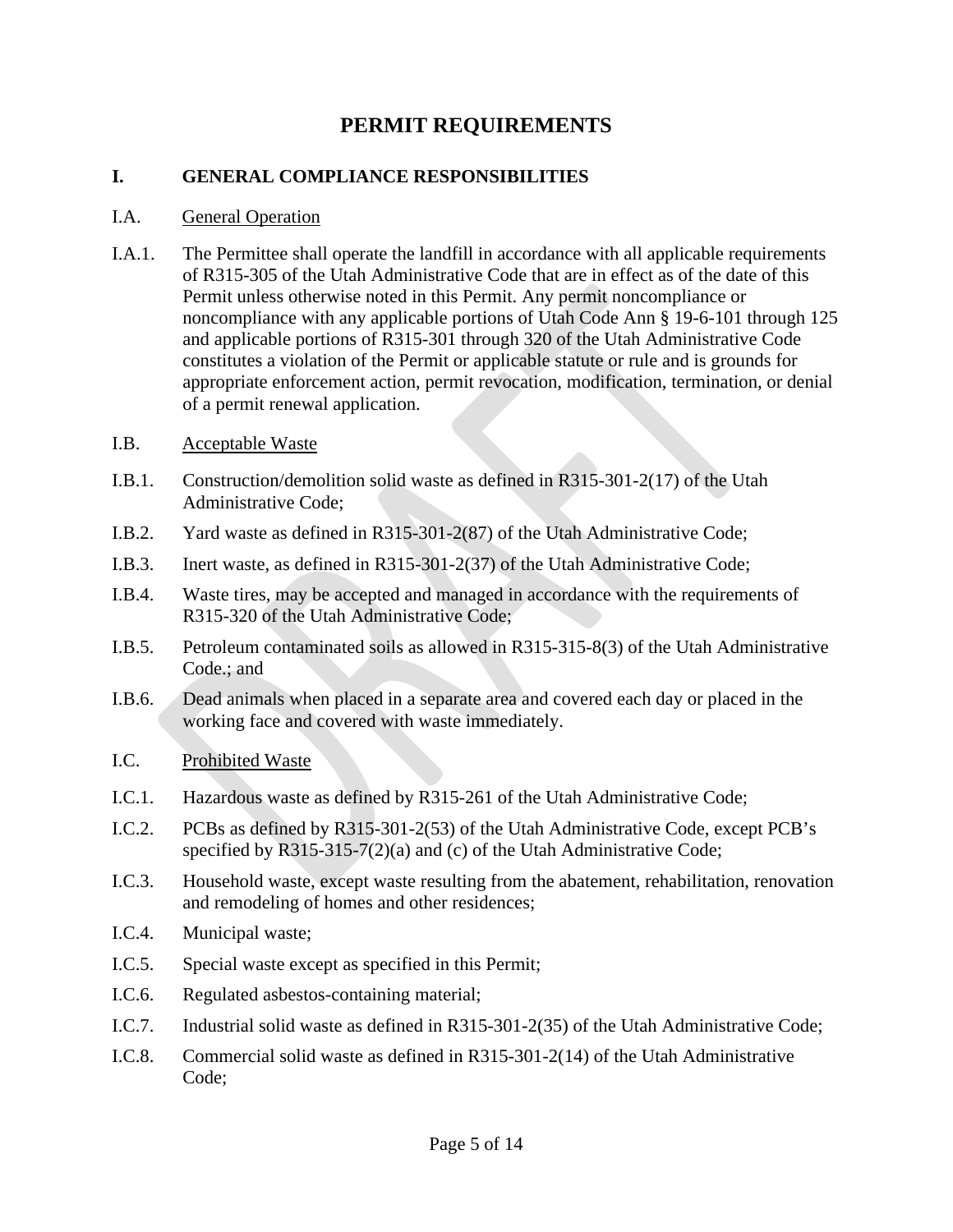# **PERMIT REQUIREMENTS**

## **I. GENERAL COMPLIANCE RESPONSIBILITIES**

#### I.A. General Operation

- I.A.1. The Permittee shall operate the landfill in accordance with all applicable requirements of R315-305 of the Utah Administrative Code that are in effect as of the date of this Permit unless otherwise noted in this Permit. Any permit noncompliance or noncompliance with any applicable portions of Utah Code Ann § 19-6-101 through 125 and applicable portions of R315-301 through 320 of the Utah Administrative Code constitutes a violation of the Permit or applicable statute or rule and is grounds for appropriate enforcement action, permit revocation, modification, termination, or denial of a permit renewal application.
- <span id="page-4-0"></span>I.B. Acceptable Waste
- I.B.1. Construction/demolition solid waste as defined in R315-301-2(17) of the Utah Administrative Code;
- I.B.2. Yard waste as defined in R315-301-2(87) of the Utah Administrative Code;
- I.B.3. Inert waste, as defined in R315-301-2(37) of the Utah Administrative Code;
- I.B.4. Waste tires, may be accepted and managed in accordance with the requirements of R315-320 of the Utah Administrative Code;
- I.B.5. Petroleum contaminated soils as allowed in R315-315-8(3) of the Utah Administrative Code.; and
- I.B.6. Dead animals when placed in a separate area and covered each day or placed in the working face and covered with waste immediately.
- I.C. Prohibited Waste
- I.C.1. Hazardous waste as defined by R315-261 of the Utah Administrative Code;
- I.C.2. PCBs as defined by R315-301-2(53) of the Utah Administrative Code, except PCB's specified by R315-315-7(2)(a) and (c) of the Utah Administrative Code;
- I.C.3. Household waste, except waste resulting from the abatement, rehabilitation, renovation and remodeling of homes and other residences;
- I.C.4. Municipal waste;
- I.C.5. Special waste except as specified in this Permit;
- I.C.6. Regulated asbestos-containing material;
- I.C.7. Industrial solid waste as defined in R315-301-2(35) of the Utah Administrative Code;
- I.C.8. Commercial solid waste as defined in R315-301-2(14) of the Utah Administrative Code;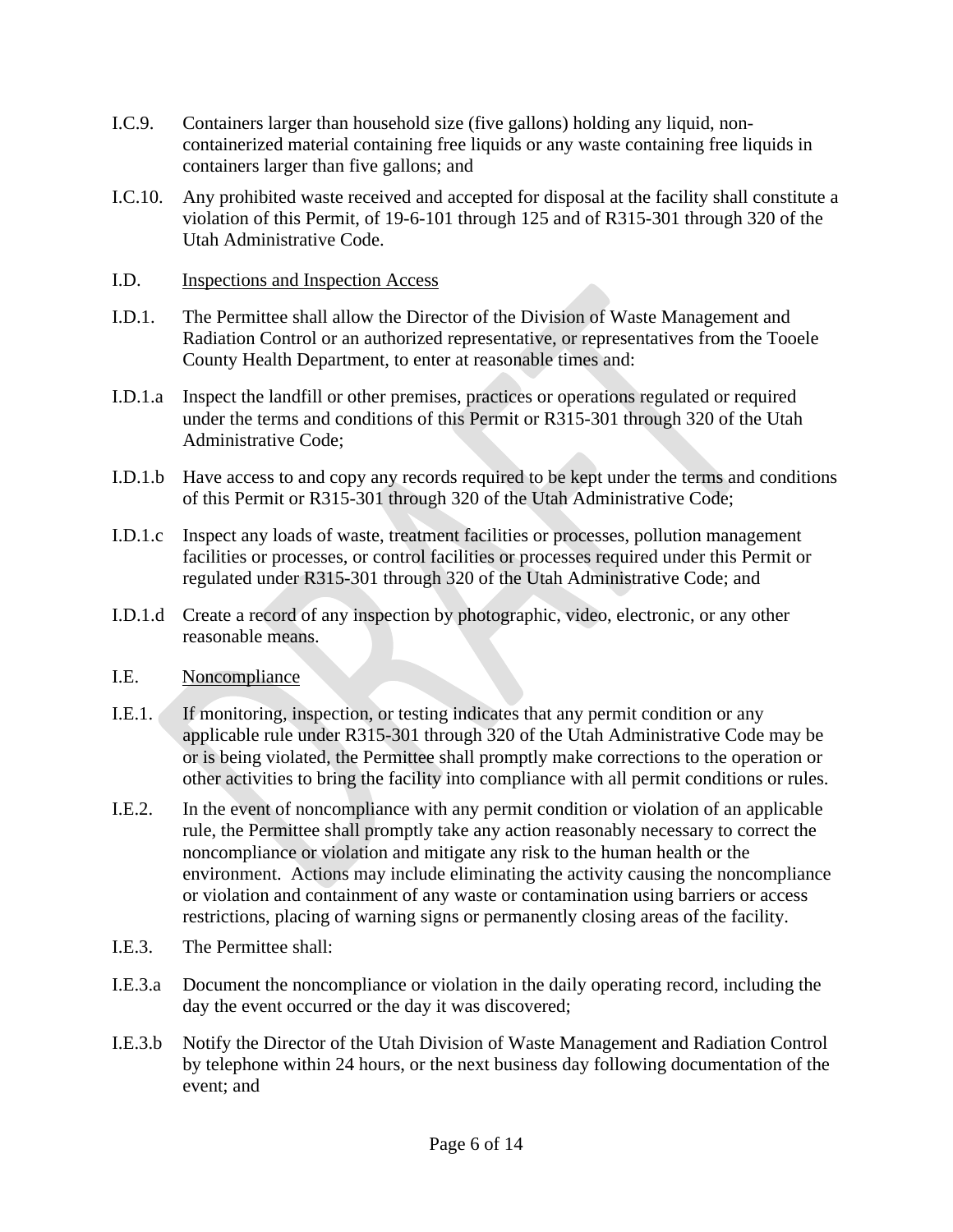- I.C.9. Containers larger than household size (five gallons) holding any liquid, noncontainerized material containing free liquids or any waste containing free liquids in containers larger than five gallons; and
- I.C.10. Any prohibited waste received and accepted for disposal at the facility shall constitute a violation of this Permit, of 19-6-101 through 125 and of R315-301 through 320 of the Utah Administrative Code.
- I.D. Inspections and Inspection Access
- I.D.1. The Permittee shall allow the Director of the Division of Waste Management and Radiation Control or an authorized representative, or representatives from the Tooele County Health Department, to enter at reasonable times and:
- I.D.1.a Inspect the landfill or other premises, practices or operations regulated or required under the terms and conditions of this Permit or R315-301 through 320 of the Utah Administrative Code;
- I.D.1.b Have access to and copy any records required to be kept under the terms and conditions of this Permit or R315-301 through 320 of the Utah Administrative Code;
- I.D.1.c Inspect any loads of waste, treatment facilities or processes, pollution management facilities or processes, or control facilities or processes required under this Permit or regulated under R315-301 through 320 of the Utah Administrative Code; and
- I.D.1.d Create a record of any inspection by photographic, video, electronic, or any other reasonable means.
- I.E. Noncompliance
- I.E.1. If monitoring, inspection, or testing indicates that any permit condition or any applicable rule under R315-301 through 320 of the Utah Administrative Code may be or is being violated, the Permittee shall promptly make corrections to the operation or other activities to bring the facility into compliance with all permit conditions or rules.
- I.E.2. In the event of noncompliance with any permit condition or violation of an applicable rule, the Permittee shall promptly take any action reasonably necessary to correct the noncompliance or violation and mitigate any risk to the human health or the environment. Actions may include eliminating the activity causing the noncompliance or violation and containment of any waste or contamination using barriers or access restrictions, placing of warning signs or permanently closing areas of the facility.
- I.E.3. The Permittee shall:
- I.E.3.a Document the noncompliance or violation in the daily operating record, including the day the event occurred or the day it was discovered;
- I.E.3.b Notify the Director of the Utah Division of Waste Management and Radiation Control by telephone within 24 hours, or the next business day following documentation of the event; and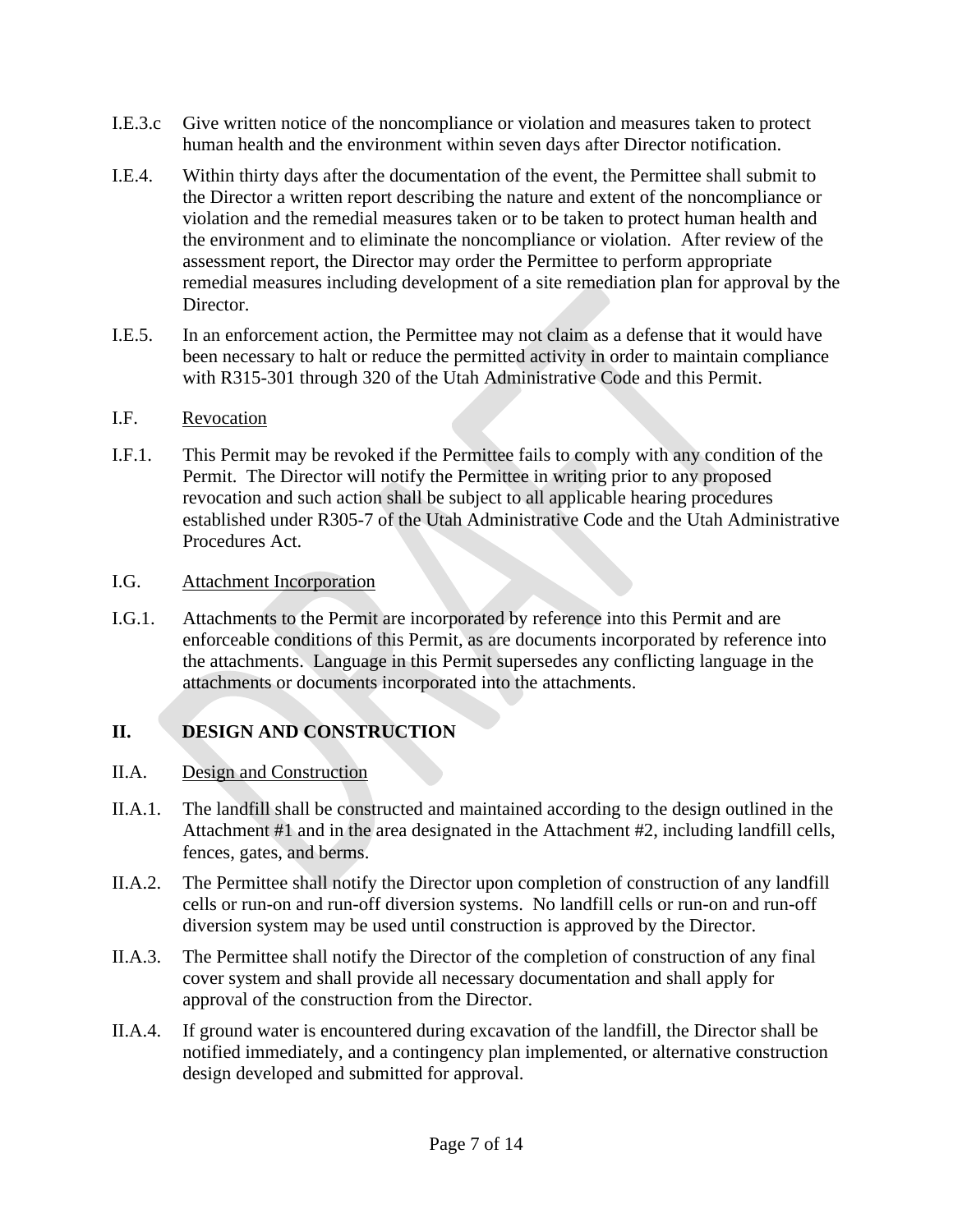- I.E.3.c Give written notice of the noncompliance or violation and measures taken to protect human health and the environment within seven days after Director notification.
- I.E.4. Within thirty days after the documentation of the event, the Permittee shall submit to the Director a written report describing the nature and extent of the noncompliance or violation and the remedial measures taken or to be taken to protect human health and the environment and to eliminate the noncompliance or violation. After review of the assessment report, the Director may order the Permittee to perform appropriate remedial measures including development of a site remediation plan for approval by the Director.
- I.E.5. In an enforcement action, the Permittee may not claim as a defense that it would have been necessary to halt or reduce the permitted activity in order to maintain compliance with R315-301 through 320 of the Utah Administrative Code and this Permit.

#### I.F. Revocation

I.F.1. This Permit may be revoked if the Permittee fails to comply with any condition of the Permit. The Director will notify the Permittee in writing prior to any proposed revocation and such action shall be subject to all applicable hearing procedures established under R305-7 of the Utah Administrative Code and the Utah Administrative Procedures Act.

### I.G. Attachment Incorporation

I.G.1. Attachments to the Permit are incorporated by reference into this Permit and are enforceable conditions of this Permit, as are documents incorporated by reference into the attachments. Language in this Permit supersedes any conflicting language in the attachments or documents incorporated into the attachments.

# **II. DESIGN AND CONSTRUCTION**

# II.A. Design and Construction

- II.A.1. The landfill shall be constructed and maintained according to the design outlined in the Attachment #1 and in the area designated in the Attachment #2, including landfill cells, fences, gates, and berms.
- II.A.2. The Permittee shall notify the Director upon completion of construction of any landfill cells or run-on and run-off diversion systems. No landfill cells or run-on and run-off diversion system may be used until construction is approved by the Director.
- II.A.3. The Permittee shall notify the Director of the completion of construction of any final cover system and shall provide all necessary documentation and shall apply for approval of the construction from the Director.
- II.A.4. If ground water is encountered during excavation of the landfill, the Director shall be notified immediately, and a contingency plan implemented, or alternative construction design developed and submitted for approval.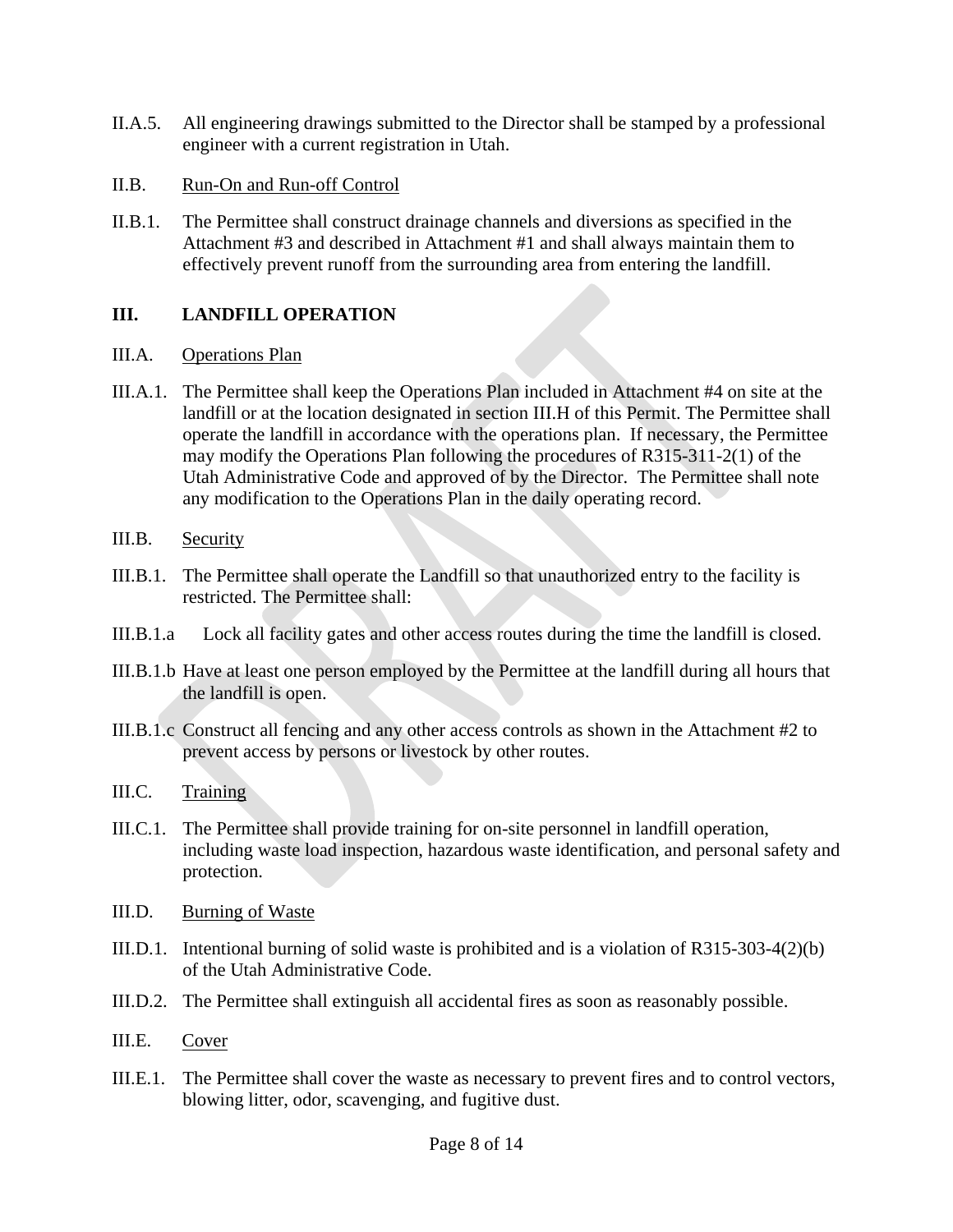- II.A.5. All engineering drawings submitted to the Director shall be stamped by a professional engineer with a current registration in Utah.
- II.B. Run-On and Run-off Control
- II.B.1. The Permittee shall construct drainage channels and diversions as specified in the Attachment #3 and described in Attachment #1 and shall always maintain them to effectively prevent runoff from the surrounding area from entering the landfill.

#### **III. LANDFILL OPERATION**

- III.A. Operations Plan
- III.A.1. The Permittee shall keep the Operations Plan included in Attachment #4 on site at the landfill or at the location designated in section [III.H](#page-9-0) of this Permit. The Permittee shall operate the landfill in accordance with the operations plan. If necessary, the Permittee may modify the Operations Plan following the procedures of R315-311-2(1) of the Utah Administrative Code and approved of by the Director. The Permittee shall note any modification to the Operations Plan in the daily operating record.
- III.B. Security
- III.B.1. The Permittee shall operate the Landfill so that unauthorized entry to the facility is restricted. The Permittee shall:
- III.B.1.a Lock all facility gates and other access routes during the time the landfill is closed.
- III.B.1.b Have at least one person employed by the Permittee at the landfill during all hours that the landfill is open.
- III.B.1.c Construct all fencing and any other access controls as shown in the Attachment #2 to prevent access by persons or livestock by other routes.
- III.C. Training
- III.C.1. The Permittee shall provide training for on-site personnel in landfill operation, including waste load inspection, hazardous waste identification, and personal safety and protection.
- III.D. Burning of Waste
- III.D.1. Intentional burning of solid waste is prohibited and is a violation of R315-303-4(2)(b) of the Utah Administrative Code.
- III.D.2. The Permittee shall extinguish all accidental fires as soon as reasonably possible.
- III.E. Cover
- III.E.1. The Permittee shall cover the waste as necessary to prevent fires and to control vectors, blowing litter, odor, scavenging, and fugitive dust.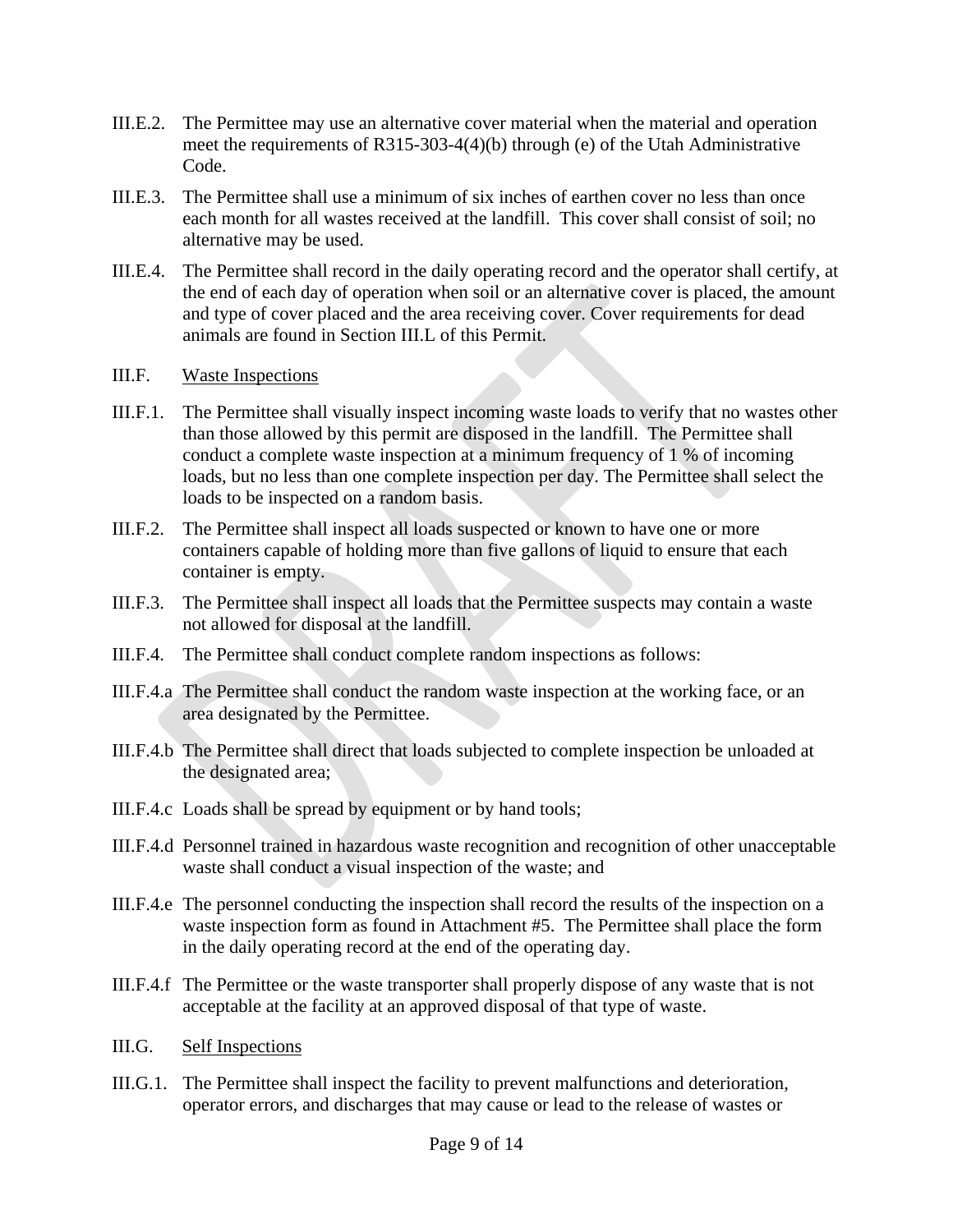- III.E.2. The Permittee may use an alternative cover material when the material and operation meet the requirements of R315-303-4(4)(b) through (e) of the Utah Administrative Code.
- III.E.3. The Permittee shall use a minimum of six inches of earthen cover no less than once each month for all wastes received at the landfill. This cover shall consist of soil; no alternative may be used.
- III.E.4. The Permittee shall record in the daily operating record and the operator shall certify, at the end of each day of operation when soil or an alternative cover is placed, the amount and type of cover placed and the area receiving cover. Cover requirements for dead animals are found in Section [III.L](#page-10-0) of this Permit.
- III.F. Waste Inspections
- III.F.1. The Permittee shall visually inspect incoming waste loads to verify that no wastes other than those allowed by this permit are disposed in the landfill. The Permittee shall conduct a complete waste inspection at a minimum frequency of 1 % of incoming loads, but no less than one complete inspection per day. The Permittee shall select the loads to be inspected on a random basis.
- III.F.2. The Permittee shall inspect all loads suspected or known to have one or more containers capable of holding more than five gallons of liquid to ensure that each container is empty.
- III.F.3. The Permittee shall inspect all loads that the Permittee suspects may contain a waste not allowed for disposal at the landfill.
- III.F.4. The Permittee shall conduct complete random inspections as follows:
- III.F.4.a The Permittee shall conduct the random waste inspection at the working face, or an area designated by the Permittee.
- III.F.4.b The Permittee shall direct that loads subjected to complete inspection be unloaded at the designated area;
- III.F.4.c Loads shall be spread by equipment or by hand tools;
- III.F.4.d Personnel trained in hazardous waste recognition and recognition of other unacceptable waste shall conduct a visual inspection of the waste; and
- III.F.4.e The personnel conducting the inspection shall record the results of the inspection on a waste inspection form as found in Attachment #5. The Permittee shall place the form in the daily operating record at the end of the operating day.
- III.F.4.f The Permittee or the waste transporter shall properly dispose of any waste that is not acceptable at the facility at an approved disposal of that type of waste.
- III.G. Self Inspections
- III.G.1. The Permittee shall inspect the facility to prevent malfunctions and deterioration, operator errors, and discharges that may cause or lead to the release of wastes or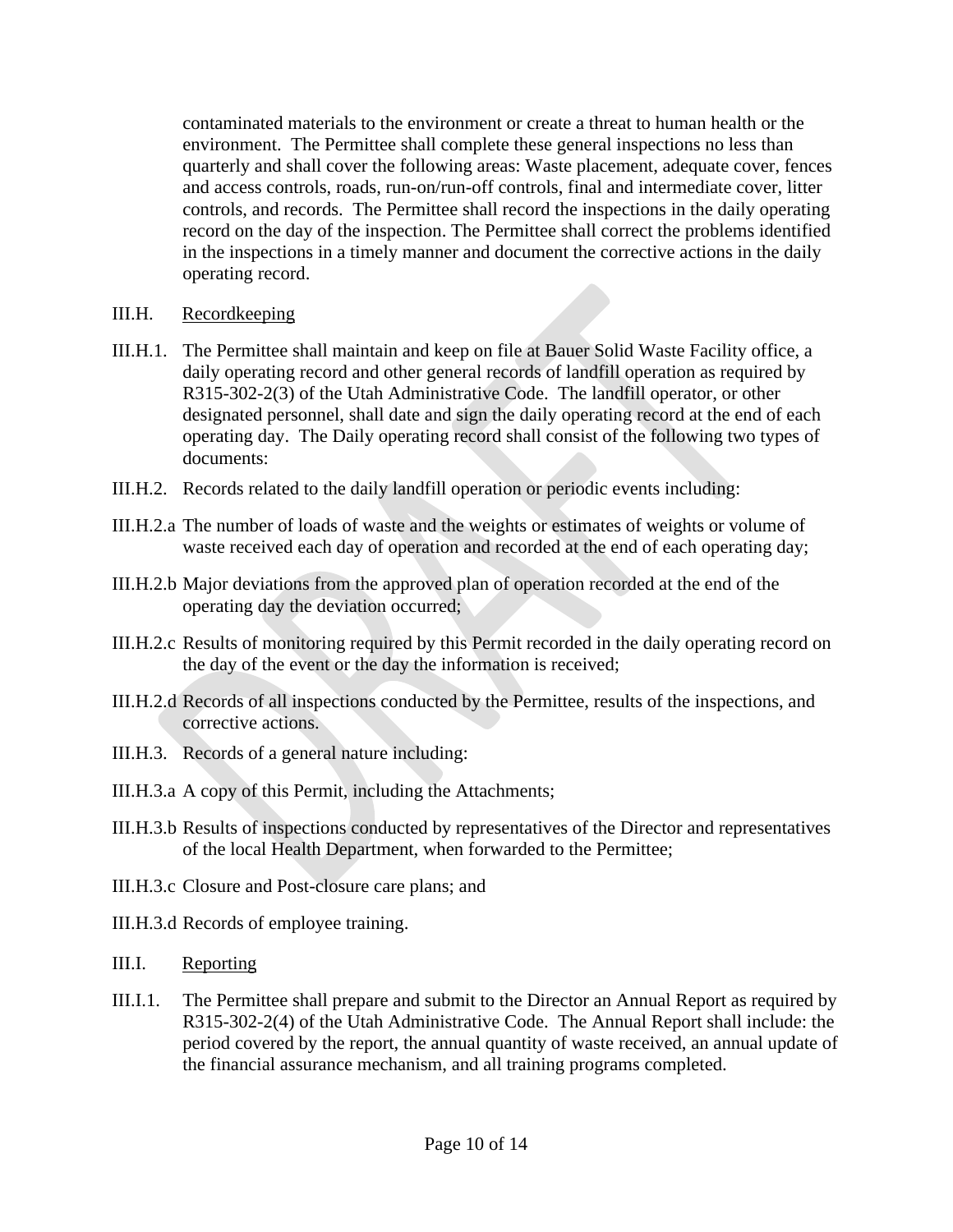contaminated materials to the environment or create a threat to human health or the environment. The Permittee shall complete these general inspections no less than quarterly and shall cover the following areas: Waste placement, adequate cover, fences and access controls, roads, run-on/run-off controls, final and intermediate cover, litter controls, and records. The Permittee shall record the inspections in the daily operating record on the day of the inspection. The Permittee shall correct the problems identified in the inspections in a timely manner and document the corrective actions in the daily operating record.

- <span id="page-9-0"></span>III.H. Recordkeeping
- III.H.1. The Permittee shall maintain and keep on file at Bauer Solid Waste Facility office, a daily operating record and other general records of landfill operation as required by R315-302-2(3) of the Utah Administrative Code. The landfill operator, or other designated personnel, shall date and sign the daily operating record at the end of each operating day. The Daily operating record shall consist of the following two types of documents:
- III.H.2. Records related to the daily landfill operation or periodic events including:
- III.H.2.a The number of loads of waste and the weights or estimates of weights or volume of waste received each day of operation and recorded at the end of each operating day;
- III.H.2.b Major deviations from the approved plan of operation recorded at the end of the operating day the deviation occurred;
- III.H.2.c Results of monitoring required by this Permit recorded in the daily operating record on the day of the event or the day the information is received;
- III.H.2.d Records of all inspections conducted by the Permittee, results of the inspections, and corrective actions.
- III.H.3. Records of a general nature including:
- III.H.3.a A copy of this Permit, including the Attachments;
- III.H.3.b Results of inspections conducted by representatives of the Director and representatives of the local Health Department, when forwarded to the Permittee;
- III.H.3.c Closure and Post-closure care plans; and
- III.H.3.d Records of employee training.
- III.I. Reporting
- III.I.1. The Permittee shall prepare and submit to the Director an Annual Report as required by R315-302-2(4) of the Utah Administrative Code. The Annual Report shall include: the period covered by the report, the annual quantity of waste received, an annual update of the financial assurance mechanism, and all training programs completed.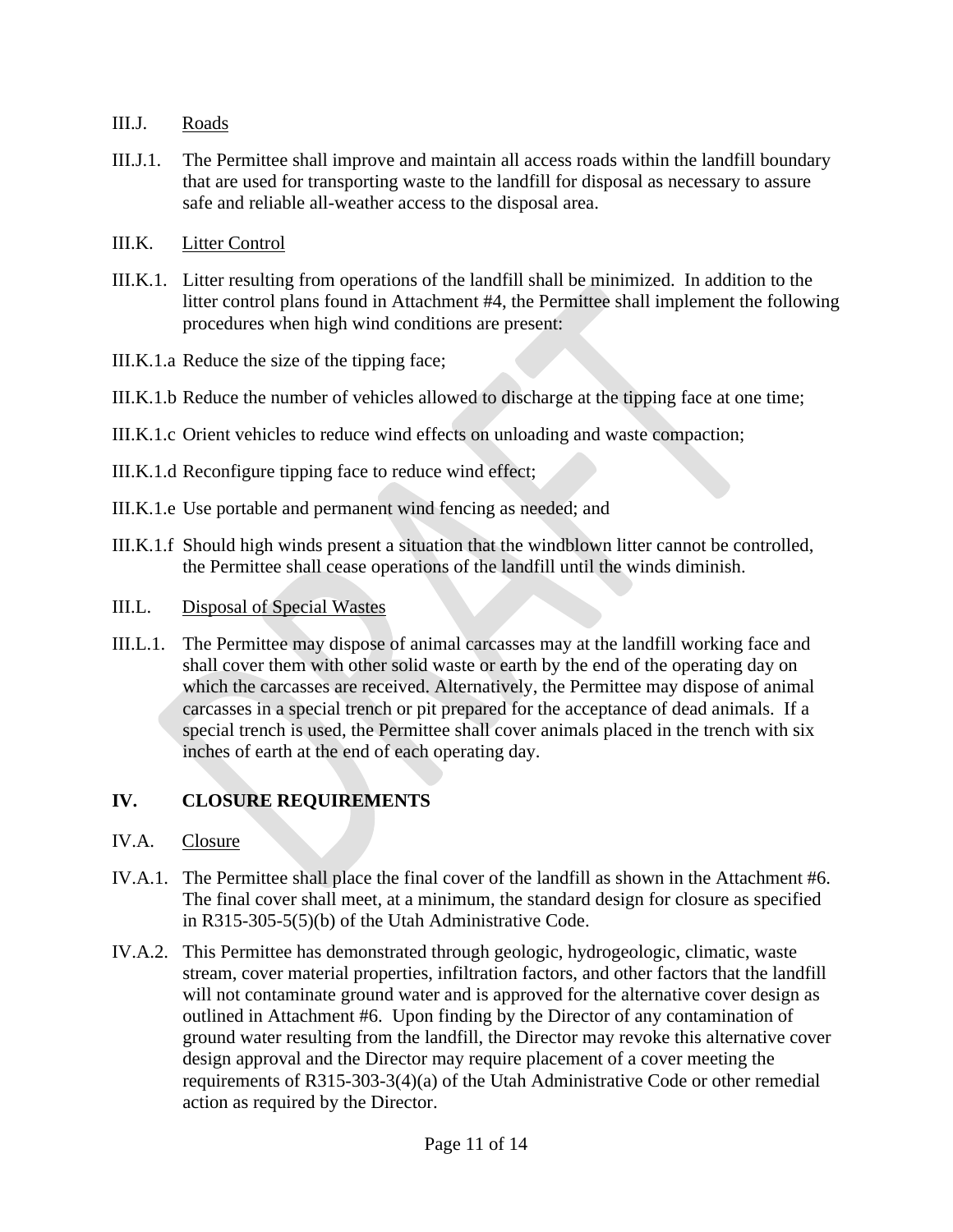- III.J. Roads
- III.J.1. The Permittee shall improve and maintain all access roads within the landfill boundary that are used for transporting waste to the landfill for disposal as necessary to assure safe and reliable all-weather access to the disposal area.
- III.K. Litter Control
- III.K.1. Litter resulting from operations of the landfill shall be minimized. In addition to the litter control plans found in Attachment #4, the Permittee shall implement the following procedures when high wind conditions are present:
- III.K.1.a Reduce the size of the tipping face;
- III.K.1.b Reduce the number of vehicles allowed to discharge at the tipping face at one time;
- III.K.1.c Orient vehicles to reduce wind effects on unloading and waste compaction;
- III.K.1.d Reconfigure tipping face to reduce wind effect;
- III.K.1.e Use portable and permanent wind fencing as needed; and
- III.K.1.f Should high winds present a situation that the windblown litter cannot be controlled, the Permittee shall cease operations of the landfill until the winds diminish.
- <span id="page-10-0"></span>III.L. Disposal of Special Wastes
- III.L.1. The Permittee may dispose of animal carcasses may at the landfill working face and shall cover them with other solid waste or earth by the end of the operating day on which the carcasses are received. Alternatively, the Permittee may dispose of animal carcasses in a special trench or pit prepared for the acceptance of dead animals. If a special trench is used, the Permittee shall cover animals placed in the trench with six inches of earth at the end of each operating day.

#### **IV. CLOSURE REQUIREMENTS**

- IV.A. Closure
- IV.A.1. The Permittee shall place the final cover of the landfill as shown in the Attachment #6. The final cover shall meet, at a minimum, the standard design for closure as specified in R315-305-5(5)(b) of the Utah Administrative Code.
- IV.A.2. This Permittee has demonstrated through geologic, hydrogeologic, climatic, waste stream, cover material properties, infiltration factors, and other factors that the landfill will not contaminate ground water and is approved for the alternative cover design as outlined in Attachment #6. Upon finding by the Director of any contamination of ground water resulting from the landfill, the Director may revoke this alternative cover design approval and the Director may require placement of a cover meeting the requirements of R315-303-3(4)(a) of the Utah Administrative Code or other remedial action as required by the Director.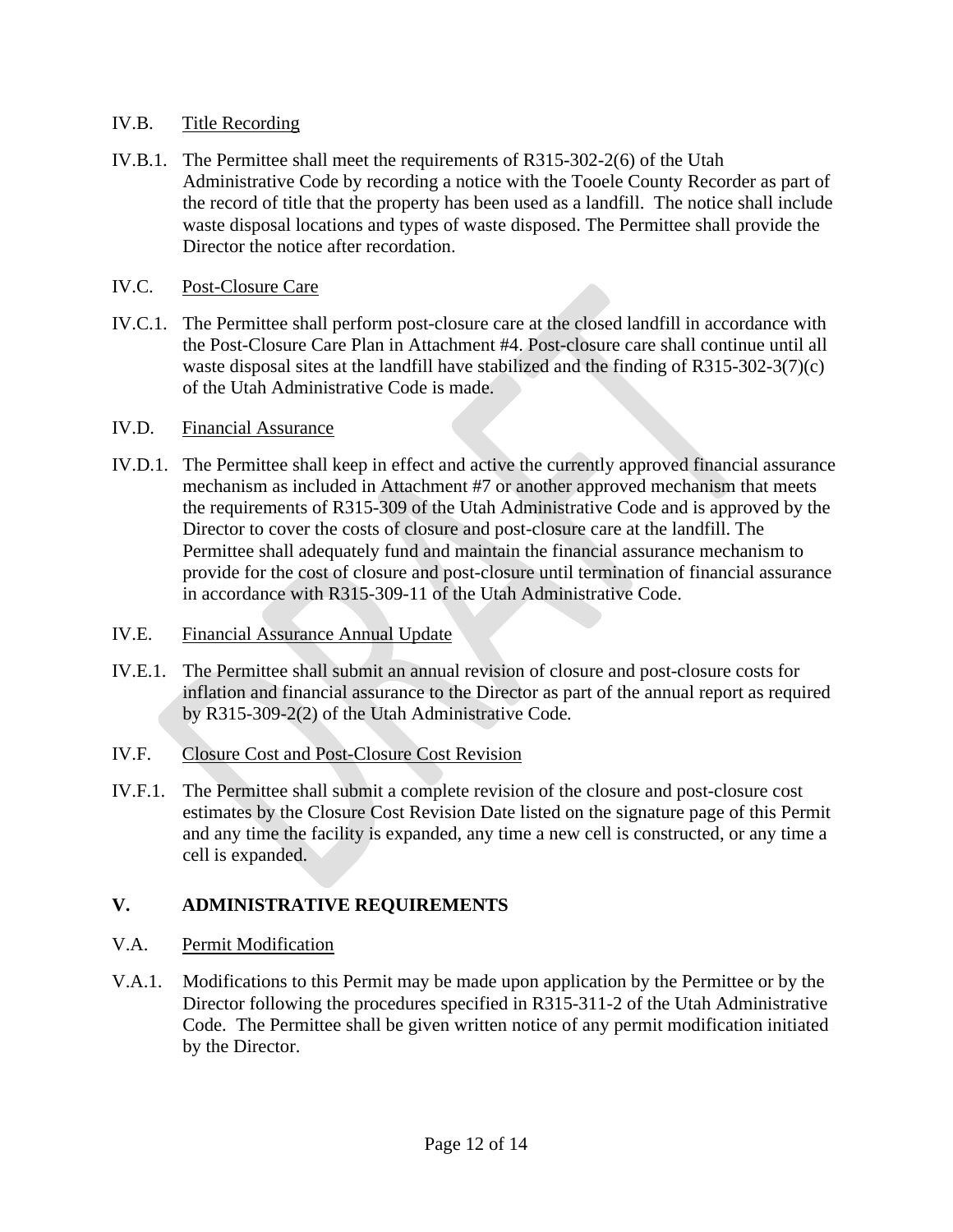### IV.B. Title Recording

- IV.B.1. The Permittee shall meet the requirements of R315-302-2(6) of the Utah Administrative Code by recording a notice with the Tooele County Recorder as part of the record of title that the property has been used as a landfill. The notice shall include waste disposal locations and types of waste disposed. The Permittee shall provide the Director the notice after recordation.
- IV.C. Post-Closure Care
- IV.C.1. The Permittee shall perform post-closure care at the closed landfill in accordance with the Post-Closure Care Plan in Attachment #4. Post-closure care shall continue until all waste disposal sites at the landfill have stabilized and the finding of R315-302-3(7)(c) of the Utah Administrative Code is made.

### IV.D. Financial Assurance

- IV.D.1. The Permittee shall keep in effect and active the currently approved financial assurance mechanism as included in Attachment #7 or another approved mechanism that meets the requirements of R315-309 of the Utah Administrative Code and is approved by the Director to cover the costs of closure and post-closure care at the landfill. The Permittee shall adequately fund and maintain the financial assurance mechanism to provide for the cost of closure and post-closure until termination of financial assurance in accordance with R315-309-11 of the Utah Administrative Code.
- IV.E. Financial Assurance Annual Update
- IV.E.1. The Permittee shall submit an annual revision of closure and post-closure costs for inflation and financial assurance to the Director as part of the annual report as required by R315-309-2(2) of the Utah Administrative Code*.*
- IV.F. Closure Cost and Post-Closure Cost Revision
- IV.F.1. The Permittee shall submit a complete revision of the closure and post-closure cost estimates by the Closure Cost Revision Date listed on the signature page of this Permit and any time the facility is expanded, any time a new cell is constructed, or any time a cell is expanded.

# **V. ADMINISTRATIVE REQUIREMENTS**

- V.A. Permit Modification
- V.A.1. Modifications to this Permit may be made upon application by the Permittee or by the Director following the procedures specified in R315-311-2 of the Utah Administrative Code. The Permittee shall be given written notice of any permit modification initiated by the Director.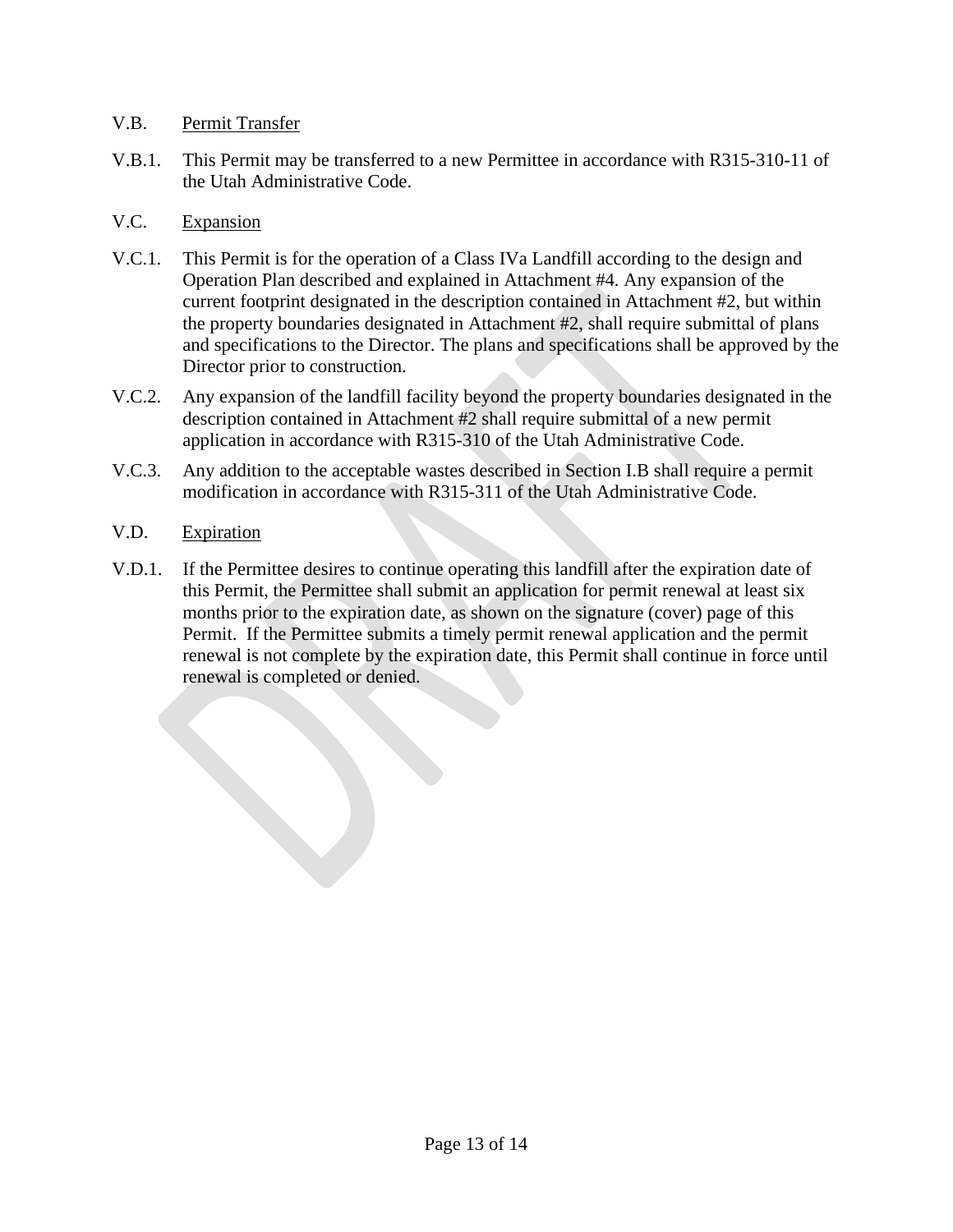### V.B. Permit Transfer

V.B.1. This Permit may be transferred to a new Permittee in accordance with R315-310-11 of the Utah Administrative Code.

# V.C. Expansion

- V.C.1. This Permit is for the operation of a Class IVa Landfill according to the design and Operation Plan described and explained in Attachment #4. Any expansion of the current footprint designated in the description contained in Attachment #2, but within the property boundaries designated in Attachment #2, shall require submittal of plans and specifications to the Director. The plans and specifications shall be approved by the Director prior to construction.
- V.C.2. Any expansion of the landfill facility beyond the property boundaries designated in the description contained in Attachment #2 shall require submittal of a new permit application in accordance with R315-310 of the Utah Administrative Code.
- V.C.3. Any addition to the acceptable wastes described in Section [I.B](#page-4-0) shall require a permit modification in accordance with R315-311 of the Utah Administrative Code.

# V.D. Expiration

V.D.1. If the Permittee desires to continue operating this landfill after the expiration date of this Permit, the Permittee shall submit an application for permit renewal at least six months prior to the expiration date, as shown on the signature (cover) page of this Permit. If the Permittee submits a timely permit renewal application and the permit renewal is not complete by the expiration date, this Permit shall continue in force until renewal is completed or denied.